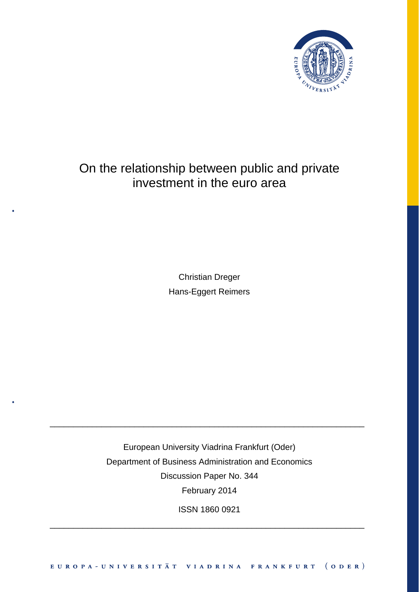

# On the relationship between public and private investment in the euro area

Christian Dreger Hans-Eggert Reimers

European University Viadrina Frankfurt (Oder) Department of Business Administration and Economics Discussion Paper No. 344 February 2014

\_\_\_\_\_\_\_\_\_\_\_\_\_\_\_\_\_\_\_\_\_\_\_\_\_\_\_\_\_\_\_\_\_\_\_\_\_\_\_\_\_\_\_\_\_\_\_\_\_\_\_\_\_\_\_\_\_\_\_\_\_\_\_\_\_\_\_

ISSN 1860 0921

\_\_\_\_\_\_\_\_\_\_\_\_\_\_\_\_\_\_\_\_\_\_\_\_\_\_\_\_\_\_\_\_\_\_\_\_\_\_\_\_\_\_\_\_\_\_\_\_\_\_\_\_\_\_\_\_\_\_\_\_\_\_\_\_\_\_\_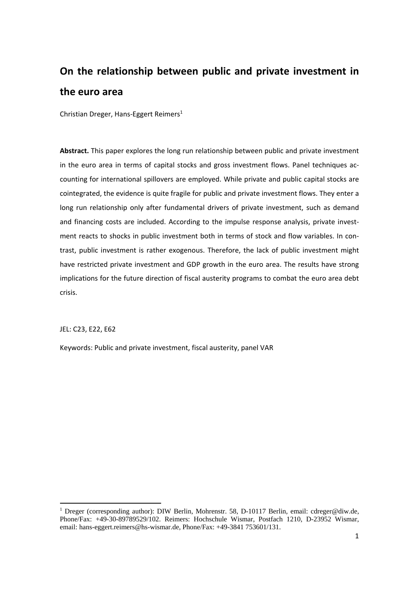# **On the relationship between public and private investment in the euro area**

Christian Dreger, Hans‐Eggert Reimers1

**Abstract.** This paper explores the long run relationship between public and private investment in the euro area in terms of capital stocks and gross investment flows. Panel techniques accounting for international spillovers are employed. While private and public capital stocks are cointegrated, the evidence is quite fragile for public and private investment flows. They enter a long run relationship only after fundamental drivers of private investment, such as demand and financing costs are included. According to the impulse response analysis, private investment reacts to shocks in public investment both in terms of stock and flow variables. In contrast, public investment is rather exogenous. Therefore, the lack of public investment might have restricted private investment and GDP growth in the euro area. The results have strong implications for the future direction of fiscal austerity programs to combat the euro area debt crisis.

JEL: C23, E22, E62

Keywords: Public and private investment, fiscal austerity, panel VAR

<sup>&</sup>lt;sup>1</sup> Dreger (corresponding author): DIW Berlin, Mohrenstr. 58, D-10117 Berlin, email: cdreger@diw.de, Phone/Fax: +49-30-89789529/102. Reimers: Hochschule Wismar, Postfach 1210, D-23952 Wismar, email: hans-eggert.reimers@hs-wismar.de, Phone/Fax: +49-3841 753601/131.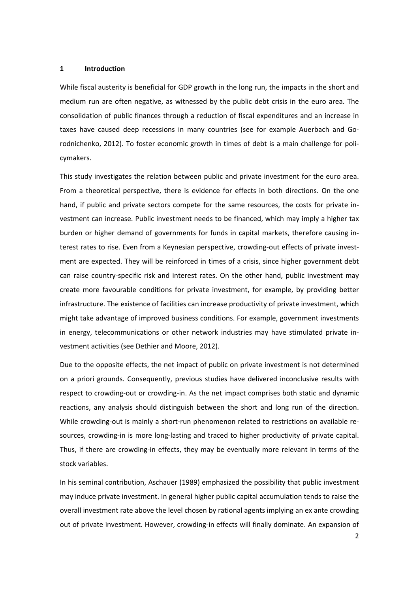#### **1 Introduction**

While fiscal austerity is beneficial for GDP growth in the long run, the impacts in the short and medium run are often negative, as witnessed by the public debt crisis in the euro area. The consolidation of public finances through a reduction of fiscal expenditures and an increase in taxes have caused deep recessions in many countries (see for example Auerbach and Go‐ rodnichenko, 2012). To foster economic growth in times of debt is a main challenge for poli‐ cymakers.

This study investigates the relation between public and private investment for the euro area. From a theoretical perspective, there is evidence for effects in both directions. On the one hand, if public and private sectors compete for the same resources, the costs for private investment can increase. Public investment needs to be financed, which may imply a higher tax burden or higher demand of governments for funds in capital markets, therefore causing in‐ terest rates to rise. Even from a Keynesian perspective, crowding-out effects of private investment are expected. They will be reinforced in times of a crisis, since higher government debt can raise country‐specific risk and interest rates. On the other hand, public investment may create more favourable conditions for private investment, for example, by providing better infrastructure. The existence of facilities can increase productivity of private investment, which might take advantage of improved business conditions. For example, government investments in energy, telecommunications or other network industries may have stimulated private in‐ vestment activities (see Dethier and Moore, 2012).

Due to the opposite effects, the net impact of public on private investment is not determined on a priori grounds. Consequently, previous studies have delivered inconclusive results with respect to crowding‐out or crowding‐in. As the net impact comprises both static and dynamic reactions, any analysis should distinguish between the short and long run of the direction. While crowding-out is mainly a short-run phenomenon related to restrictions on available resources, crowding-in is more long-lasting and traced to higher productivity of private capital. Thus, if there are crowding-in effects, they may be eventually more relevant in terms of the stock variables.

In his seminal contribution, Aschauer (1989) emphasized the possibility that public investment may induce private investment. In general higher public capital accumulation tends to raise the overall investment rate above the level chosen by rational agents implying an ex ante crowding out of private investment. However, crowding-in effects will finally dominate. An expansion of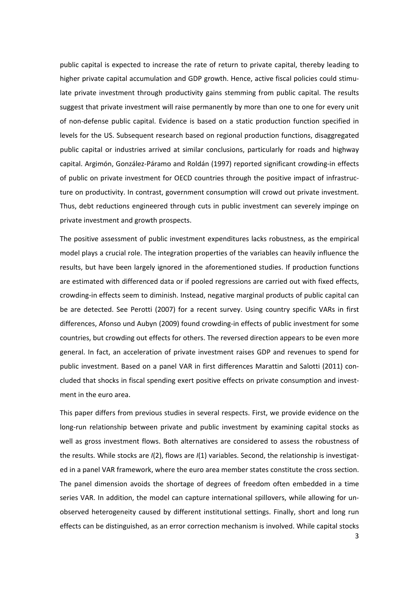public capital is expected to increase the rate of return to private capital, thereby leading to higher private capital accumulation and GDP growth. Hence, active fiscal policies could stimulate private investment through productivity gains stemming from public capital. The results suggest that private investment will raise permanently by more than one to one for every unit of non‐defense public capital. Evidence is based on a static production function specified in levels for the US. Subsequent research based on regional production functions, disaggregated public capital or industries arrived at similar conclusions, particularly for roads and highway capital. Argimón, González‐Páramo and Roldán (1997) reported significant crowding‐in effects of public on private investment for OECD countries through the positive impact of infrastruc‐ ture on productivity. In contrast, government consumption will crowd out private investment. Thus, debt reductions engineered through cuts in public investment can severely impinge on private investment and growth prospects.

The positive assessment of public investment expenditures lacks robustness, as the empirical model plays a crucial role. The integration properties of the variables can heavily influence the results, but have been largely ignored in the aforementioned studies. If production functions are estimated with differenced data or if pooled regressions are carried out with fixed effects, crowding‐in effects seem to diminish. Instead, negative marginal products of public capital can be are detected. See Perotti (2007) for a recent survey. Using country specific VARs in first differences, Afonso und Aubyn (2009) found crowding‐in effects of public investment for some countries, but crowding out effects for others. The reversed direction appears to be even more general. In fact, an acceleration of private investment raises GDP and revenues to spend for public investment. Based on a panel VAR in first differences Marattin and Salotti (2011) concluded that shocks in fiscal spending exert positive effects on private consumption and invest‐ ment in the euro area.

This paper differs from previous studies in several respects. First, we provide evidence on the long-run relationship between private and public investment by examining capital stocks as well as gross investment flows. Both alternatives are considered to assess the robustness of the results. While stocks are *I*(2), flows are *I*(1) variables. Second, the relationship is investigat‐ ed in a panel VAR framework, where the euro area member states constitute the cross section. The panel dimension avoids the shortage of degrees of freedom often embedded in a time series VAR. In addition, the model can capture international spillovers, while allowing for unobserved heterogeneity caused by different institutional settings. Finally, short and long run effects can be distinguished, as an error correction mechanism is involved. While capital stocks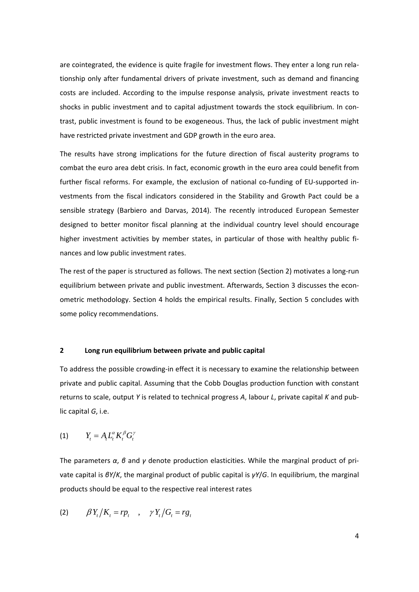are cointegrated, the evidence is quite fragile for investment flows. They enter a long run relationship only after fundamental drivers of private investment, such as demand and financing costs are included. According to the impulse response analysis, private investment reacts to shocks in public investment and to capital adjustment towards the stock equilibrium. In contrast, public investment is found to be exogeneous. Thus, the lack of public investment might have restricted private investment and GDP growth in the euro area.

The results have strong implications for the future direction of fiscal austerity programs to combat the euro area debt crisis. In fact, economic growth in the euro area could benefit from further fiscal reforms. For example, the exclusion of national co-funding of EU-supported investments from the fiscal indicators considered in the Stability and Growth Pact could be a sensible strategy (Barbiero and Darvas, 2014). The recently introduced European Semester designed to better monitor fiscal planning at the individual country level should encourage higher investment activities by member states, in particular of those with healthy public finances and low public investment rates.

The rest of the paper is structured as follows. The next section (Section 2) motivates a long-run equilibrium between private and public investment. Afterwards, Section 3 discusses the econometric methodology. Section 4 holds the empirical results. Finally, Section 5 concludes with some policy recommendations.

## **2 Long run equilibrium between private and public capital**

To address the possible crowding‐in effect it is necessary to examine the relationship between private and public capital. Assuming that the Cobb Douglas production function with constant returns to scale, output *Y* is related to technical progress *A*, labour *L*, private capital *K* and pub‐ lic capital *G*, i.e.

$$
(1) \t Y_t = A_t L_t^{\alpha} K_t^{\beta} G_t^{\gamma}
$$

The parameters *α*, *β* and *γ* denote production elasticities. While the marginal product of pri‐ vate capital is *βY*/*K*, the marginal product of public capital is *γY*/*G*. In equilibrium, the marginal products should be equal to the respective real interest rates

$$
(2) \qquad \beta Y_t/K_t = rp_t \quad , \quad \gamma Y_t/G_t = rg_t
$$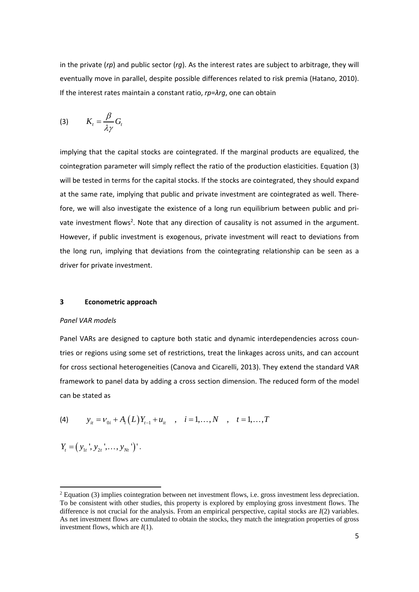in the private (*rp*) and public sector (*rg*). As the interest rates are subject to arbitrage, they will eventually move in parallel, despite possible differences related to risk premia (Hatano, 2010). If the interest rates maintain a constant ratio, *rp*=*λrg*, one can obtain

$$
(3) \qquad K_t = \frac{\beta}{\lambda \gamma} G_t
$$

implying that the capital stocks are cointegrated. If the marginal products are equalized, the cointegration parameter will simply reflect the ratio of the production elasticities. Equation (3) will be tested in terms for the capital stocks. If the stocks are cointegrated, they should expand at the same rate, implying that public and private investment are cointegrated as well. Therefore, we will also investigate the existence of a long run equilibrium between public and pri‐ vate investment flows<sup>2</sup>. Note that any direction of causality is not assumed in the argument. However, if public investment is exogenous, private investment will react to deviations from the long run, implying that deviations from the cointegrating relationship can be seen as a driver for private investment.

#### **3 Econometric approach**

### *Panel VAR models*

Panel VARs are designed to capture both static and dynamic interdependencies across coun‐ tries or regions using some set of restrictions, treat the linkages across units, and can account for cross sectional heterogeneities (Canova and Cicarelli, 2013). They extend the standard VAR framework to panel data by adding a cross section dimension. The reduced form of the model can be stated as

(4) 
$$
y_{it} = v_{0i} + A_i(L)Y_{t-1} + u_{it}
$$
,  $i = 1,..., N$ ,  $t = 1,..., T$ 

$$
Y_t = (y_{1t}^{\prime}, y_{2t}^{\prime}, \ldots, y_{Nt}^{\prime})^{\prime}.
$$

 $<sup>2</sup>$  Equation (3) implies cointegration between net investment flows, i.e. gross investment less depreciation.</sup> To be consistent with other studies, this property is explored by employing gross investment flows. The difference is not crucial for the analysis. From an empirical perspective, capital stocks are *I*(2) variables. As net investment flows are cumulated to obtain the stocks, they match the integration properties of gross investment flows, which are *I*(1).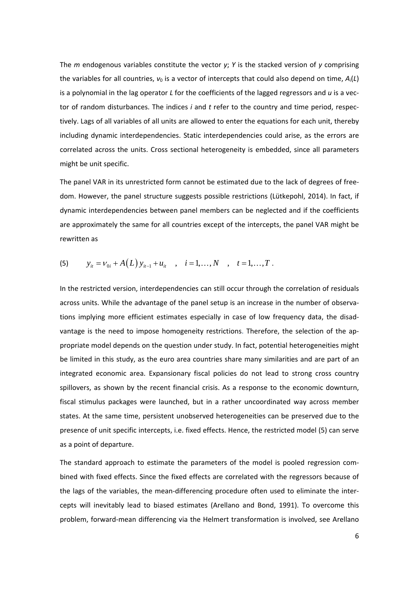The *m* endogenous variables constitute the vector *y*; *Y* is the stacked version of *y* comprising the variables for all countries, *ν*<sup>0</sup> is a vector of intercepts that could also depend on time, *A*i(*L*) is a polynomial in the lag operator *L* for the coefficients of the lagged regressors and *u* is a vec‐ tor of random disturbances. The indices *i* and *t* refer to the country and time period, respec‐ tively. Lags of all variables of all units are allowed to enter the equations for each unit, thereby including dynamic interdependencies. Static interdependencies could arise, as the errors are correlated across the units. Cross sectional heterogeneity is embedded, since all parameters might be unit specific.

The panel VAR in its unrestricted form cannot be estimated due to the lack of degrees of free‐ dom. However, the panel structure suggests possible restrictions (Lütkepohl, 2014). In fact, if dynamic interdependencies between panel members can be neglected and if the coefficients are approximately the same for all countries except of the intercepts, the panel VAR might be rewritten as

(5) 
$$
y_{it} = v_{0i} + A(L)y_{it-1} + u_{it}
$$
,  $i = 1,..., N$ ,  $t = 1,..., T$ .

In the restricted version, interdependencies can still occur through the correlation of residuals across units. While the advantage of the panel setup is an increase in the number of observations implying more efficient estimates especially in case of low frequency data, the disad‐ vantage is the need to impose homogeneity restrictions. Therefore, the selection of the ap‐ propriate model depends on the question under study. In fact, potential heterogeneities might be limited in this study, as the euro area countries share many similarities and are part of an integrated economic area. Expansionary fiscal policies do not lead to strong cross country spillovers, as shown by the recent financial crisis. As a response to the economic downturn, fiscal stimulus packages were launched, but in a rather uncoordinated way across member states. At the same time, persistent unobserved heterogeneities can be preserved due to the presence of unit specific intercepts, i.e. fixed effects. Hence, the restricted model (5) can serve as a point of departure.

The standard approach to estimate the parameters of the model is pooled regression com‐ bined with fixed effects. Since the fixed effects are correlated with the regressors because of the lags of the variables, the mean-differencing procedure often used to eliminate the intercepts will inevitably lead to biased estimates (Arellano and Bond, 1991). To overcome this problem, forward‐mean differencing via the Helmert transformation is involved, see Arellano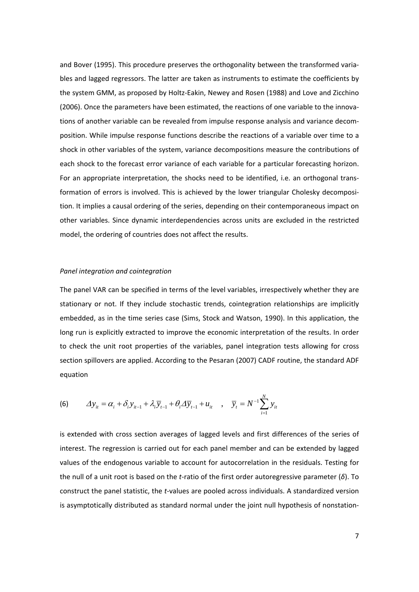and Bover (1995). This procedure preserves the orthogonality between the transformed varia‐ bles and lagged regressors. The latter are taken as instruments to estimate the coefficients by the system GMM, as proposed by Holtz-Eakin, Newey and Rosen (1988) and Love and Zicchino (2006). Once the parameters have been estimated, the reactions of one variable to the innova‐ tions of another variable can be revealed from impulse response analysis and variance decom‐ position. While impulse response functions describe the reactions of a variable over time to a shock in other variables of the system, variance decompositions measure the contributions of each shock to the forecast error variance of each variable for a particular forecasting horizon. For an appropriate interpretation, the shocks need to be identified, i.e. an orthogonal transformation of errors is involved. This is achieved by the lower triangular Cholesky decomposition. It implies a causal ordering of the series, depending on their contemporaneous impact on other variables. Since dynamic interdependencies across units are excluded in the restricted model, the ordering of countries does not affect the results.

#### *Panel integration and cointegration*

The panel VAR can be specified in terms of the level variables, irrespectively whether they are stationary or not. If they include stochastic trends, cointegration relationships are implicitly embedded, as in the time series case (Sims, Stock and Watson, 1990). In this application, the long run is explicitly extracted to improve the economic interpretation of the results. In order to check the unit root properties of the variables, panel integration tests allowing for cross section spillovers are applied. According to the Pesaran (2007) CADF routine, the standard ADF equation

(6) 
$$
\Delta y_{it} = \alpha_i + \delta_i y_{it-1} + \lambda_i \overline{y}_{t-1} + \theta_i \Delta \overline{y}_{t-1} + u_{it} , \quad \overline{y}_t = N^{-1} \sum_{i=1}^N y_{it}
$$

is extended with cross section averages of lagged levels and first differences of the series of interest. The regression is carried out for each panel member and can be extended by lagged values of the endogenous variable to account for autocorrelation in the residuals. Testing for the null of a unit root is based on the *t*‐ratio of the first order autoregressive parameter (*δ*). To construct the panel statistic, the *t*‐values are pooled across individuals. A standardized version is asymptotically distributed as standard normal under the joint null hypothesis of nonstation‐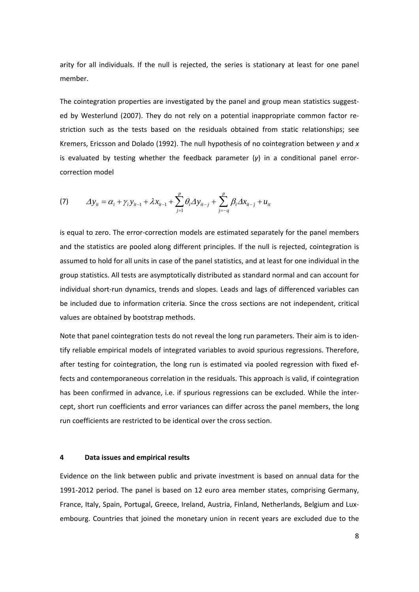arity for all individuals. If the null is rejected, the series is stationary at least for one panel member.

The cointegration properties are investigated by the panel and group mean statistics suggested by Westerlund (2007). They do not rely on a potential inappropriate common factor re‐ striction such as the tests based on the residuals obtained from static relationships; see Kremers, Ericsson and Dolado (1992). The null hypothesis of no cointegration between *y* and *x* is evaluated by testing whether the feedback parameter (*γ*) in a conditional panel error‐ correction model

(7) 
$$
\Delta y_{it} = \alpha_i + \gamma_i y_{it-1} + \lambda x_{it-1} + \sum_{j=1}^p \theta_i \Delta y_{it-j} + \sum_{j=-q}^p \beta_i \Delta x_{it-j} + u_{it}
$$

is equal to zero. The error‐correction models are estimated separately for the panel members and the statistics are pooled along different principles. If the null is rejected, cointegration is assumed to hold for all units in case of the panel statistics, and at least for one individual in the group statistics. All tests are asymptotically distributed as standard normal and can account for individual short-run dynamics, trends and slopes. Leads and lags of differenced variables can be included due to information criteria. Since the cross sections are not independent, critical values are obtained by bootstrap methods.

Note that panel cointegration tests do not reveal the long run parameters. Their aim is to iden‐ tify reliable empirical models of integrated variables to avoid spurious regressions. Therefore, after testing for cointegration, the long run is estimated via pooled regression with fixed ef‐ fects and contemporaneous correlation in the residuals. This approach is valid, if cointegration has been confirmed in advance, i.e. if spurious regressions can be excluded. While the inter‐ cept, short run coefficients and error variances can differ across the panel members, the long run coefficients are restricted to be identical over the cross section.

## **4 Data issues and empirical results**

Evidence on the link between public and private investment is based on annual data for the 1991-2012 period. The panel is based on 12 euro area member states, comprising Germany, France, Italy, Spain, Portugal, Greece, Ireland, Austria, Finland, Netherlands, Belgium and Lux‐ embourg. Countries that joined the monetary union in recent years are excluded due to the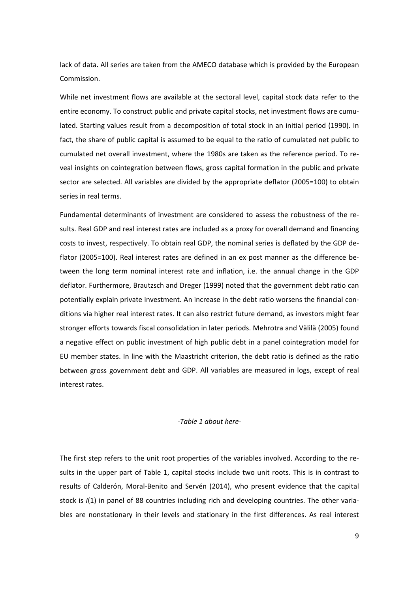lack of data. All series are taken from the AMECO database which is provided by the European Commission.

While net investment flows are available at the sectoral level, capital stock data refer to the entire economy. To construct public and private capital stocks, net investment flows are cumulated. Starting values result from a decomposition of total stock in an initial period (1990). In fact, the share of public capital is assumed to be equal to the ratio of cumulated net public to cumulated net overall investment, where the 1980s are taken as the reference period. To re‐ veal insights on cointegration between flows, gross capital formation in the public and private sector are selected. All variables are divided by the appropriate deflator (2005=100) to obtain series in real terms.

Fundamental determinants of investment are considered to assess the robustness of the re‐ sults. Real GDP and real interest rates are included as a proxy for overall demand and financing costs to invest, respectively. To obtain real GDP, the nominal series is deflated by the GDP de‐ flator (2005=100). Real interest rates are defined in an ex post manner as the difference between the long term nominal interest rate and inflation, i.e. the annual change in the GDP deflator. Furthermore, Brautzsch and Dreger (1999) noted that the government debt ratio can potentially explain private investment. An increase in the debt ratio worsens the financial con‐ ditions via higher real interest rates. It can also restrict future demand, as investors might fear stronger efforts towards fiscal consolidation in later periods. Mehrotra and Välilä (2005) found a negative effect on public investment of high public debt in a panel cointegration model for EU member states. In line with the Maastricht criterion, the debt ratio is defined as the ratio between gross government debt and GDP. All variables are measured in logs, except of real interest rates.

## *‐Table 1 about here‐*

The first step refers to the unit root properties of the variables involved. According to the re‐ sults in the upper part of Table 1, capital stocks include two unit roots. This is in contrast to results of Calderón, Moral‐Benito and Servén (2014), who present evidence that the capital stock is  $I(1)$  in panel of 88 countries including rich and developing countries. The other variables are nonstationary in their levels and stationary in the first differences. As real interest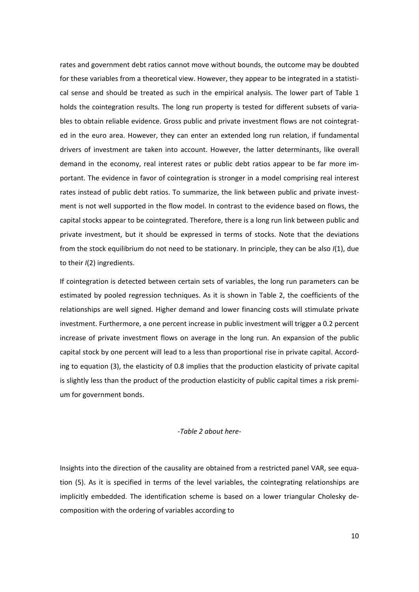rates and government debt ratios cannot move without bounds, the outcome may be doubted for these variables from a theoretical view. However, they appear to be integrated in a statistical sense and should be treated as such in the empirical analysis. The lower part of Table 1 holds the cointegration results. The long run property is tested for different subsets of variables to obtain reliable evidence. Gross public and private investment flows are not cointegrated in the euro area. However, they can enter an extended long run relation, if fundamental drivers of investment are taken into account. However, the latter determinants, like overall demand in the economy, real interest rates or public debt ratios appear to be far more im‐ portant. The evidence in favor of cointegration is stronger in a model comprising real interest rates instead of public debt ratios. To summarize, the link between public and private investment is not well supported in the flow model. In contrast to the evidence based on flows, the capital stocks appear to be cointegrated. Therefore, there is a long run link between public and private investment, but it should be expressed in terms of stocks. Note that the deviations from the stock equilibrium do not need to be stationary. In principle, they can be also *I*(1), due to their *I*(2) ingredients.

If cointegration is detected between certain sets of variables, the long run parameters can be estimated by pooled regression techniques. As it is shown in Table 2, the coefficients of the relationships are well signed. Higher demand and lower financing costs will stimulate private investment. Furthermore, a one percent increase in public investment will trigger a 0.2 percent increase of private investment flows on average in the long run. An expansion of the public capital stock by one percent will lead to a less than proportional rise in private capital. Accord‐ ing to equation (3), the elasticity of 0.8 implies that the production elasticity of private capital is slightly less than the product of the production elasticity of public capital times a risk premium for government bonds.

#### *‐Table 2 about here‐*

Insights into the direction of the causality are obtained from a restricted panel VAR, see equa‐ tion (5). As it is specified in terms of the level variables, the cointegrating relationships are implicitly embedded. The identification scheme is based on a lower triangular Cholesky de‐ composition with the ordering of variables according to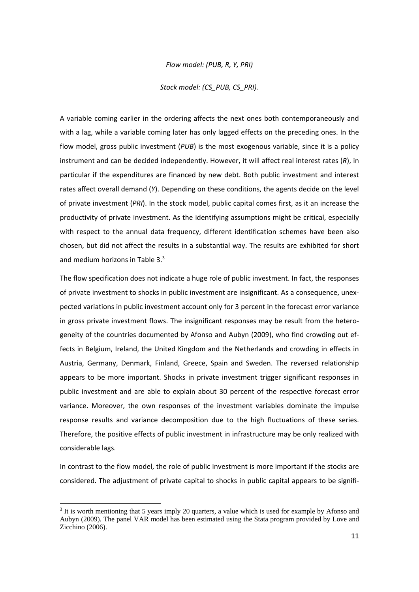*Flow model: (PUB, R, Y, PRI)*

*Stock model: (CS\_PUB, CS\_PRI).*

A variable coming earlier in the ordering affects the next ones both contemporaneously and with a lag, while a variable coming later has only lagged effects on the preceding ones. In the flow model, gross public investment (*PUB*) is the most exogenous variable, since it is a policy instrument and can be decided independently. However, it will affect real interest rates (*R*), in particular if the expenditures are financed by new debt. Both public investment and interest rates affect overall demand (*Y*). Depending on these conditions, the agents decide on the level of private investment (*PRI*). In the stock model, public capital comes first, as it an increase the productivity of private investment. As the identifying assumptions might be critical, especially with respect to the annual data frequency, different identification schemes have been also chosen, but did not affect the results in a substantial way. The results are exhibited for short and medium horizons in Table 3.<sup>3</sup>

The flow specification does not indicate a huge role of public investment. In fact, the responses of private investment to shocks in public investment are insignificant. As a consequence, unex‐ pected variations in public investment account only for 3 percent in the forecast error variance in gross private investment flows. The insignificant responses may be result from the heterogeneity of the countries documented by Afonso and Aubyn (2009), who find crowding out ef‐ fects in Belgium, Ireland, the United Kingdom and the Netherlands and crowding in effects in Austria, Germany, Denmark, Finland, Greece, Spain and Sweden. The reversed relationship appears to be more important. Shocks in private investment trigger significant responses in public investment and are able to explain about 30 percent of the respective forecast error variance. Moreover, the own responses of the investment variables dominate the impulse response results and variance decomposition due to the high fluctuations of these series. Therefore, the positive effects of public investment in infrastructure may be only realized with considerable lags.

In contrast to the flow model, the role of public investment is more important if the stocks are considered. The adjustment of private capital to shocks in public capital appears to be signifi‐

<sup>&</sup>lt;sup>3</sup> It is worth mentioning that 5 years imply 20 quarters, a value which is used for example by Afonso and Aubyn (2009). The panel VAR model has been estimated using the Stata program provided by Love and Zicchino (2006).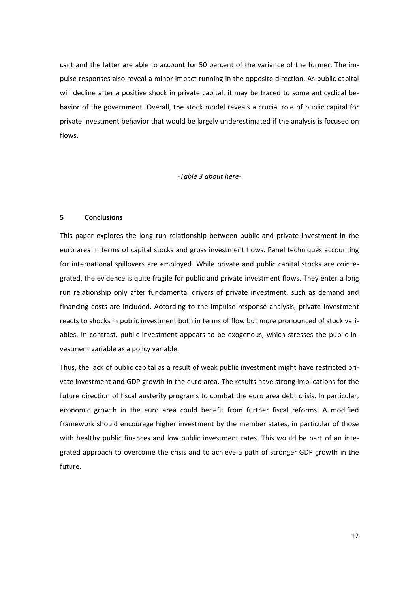cant and the latter are able to account for 50 percent of the variance of the former. The impulse responses also reveal a minor impact running in the opposite direction. As public capital will decline after a positive shock in private capital, it may be traced to some anticyclical behavior of the government. Overall, the stock model reveals a crucial role of public capital for private investment behavior that would be largely underestimated if the analysis is focused on flows.

*‐Table 3 about here‐* 

#### **5 Conclusions**

This paper explores the long run relationship between public and private investment in the euro area in terms of capital stocks and gross investment flows. Panel techniques accounting for international spillovers are employed. While private and public capital stocks are cointegrated, the evidence is quite fragile for public and private investment flows. They enter a long run relationship only after fundamental drivers of private investment, such as demand and financing costs are included. According to the impulse response analysis, private investment reacts to shocks in public investment both in terms of flow but more pronounced of stock vari‐ ables. In contrast, public investment appears to be exogenous, which stresses the public in‐ vestment variable as a policy variable.

Thus, the lack of public capital as a result of weak public investment might have restricted pri‐ vate investment and GDP growth in the euro area. The results have strong implications for the future direction of fiscal austerity programs to combat the euro area debt crisis. In particular, economic growth in the euro area could benefit from further fiscal reforms. A modified framework should encourage higher investment by the member states, in particular of those with healthy public finances and low public investment rates. This would be part of an integrated approach to overcome the crisis and to achieve a path of stronger GDP growth in the future.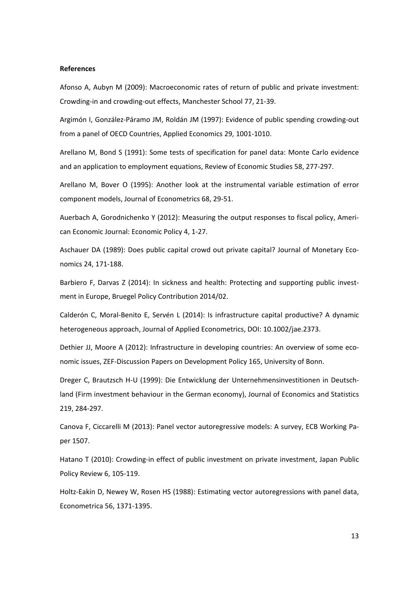#### **References**

Afonso A, Aubyn M (2009): Macroeconomic rates of return of public and private investment: Crowding‐in and crowding‐out effects, Manchester School 77, 21‐39.

Argimón I, González‐Páramo JM, Roldán JM (1997): Evidence of public spending crowding‐out from a panel of OECD Countries, Applied Economics 29, 1001‐1010.

Arellano M, Bond S (1991): Some tests of specification for panel data: Monte Carlo evidence and an application to employment equations, Review of Economic Studies 58, 277‐297.

Arellano M, Bover O (1995): Another look at the instrumental variable estimation of error component models, Journal of Econometrics 68, 29‐51.

Auerbach A, Gorodnichenko Y (2012): Measuring the output responses to fiscal policy, Ameri‐ can Economic Journal: Economic Policy 4, 1‐27.

Aschauer DA (1989): Does public capital crowd out private capital? Journal of Monetary Eco‐ nomics 24, 171‐188.

Barbiero F, Darvas Z (2014): In sickness and health: Protecting and supporting public investment in Europe, Bruegel Policy Contribution 2014/02.

Calderón C, Moral‐Benito E, Servén L (2014): Is infrastructure capital productive? A dynamic heterogeneous approach, Journal of Applied Econometrics, DOI: 10.1002/jae.2373.

Dethier JJ, Moore A (2012): Infrastructure in developing countries: An overview of some economic issues, ZEF‐Discussion Papers on Development Policy 165, University of Bonn.

Dreger C, Brautzsch H‐U (1999): Die Entwicklung der Unternehmensinvestitionen in Deutsch‐ land (Firm investment behaviour in the German economy), Journal of Economics and Statistics 219, 284‐297.

Canova F, Ciccarelli M (2013): Panel vector autoregressive models: A survey, ECB Working Pa‐ per 1507.

Hatano T (2010): Crowding-in effect of public investment on private investment, Japan Public Policy Review 6, 105‐119.

Holtz-Eakin D, Newey W, Rosen HS (1988): Estimating vector autoregressions with panel data, Econometrica 56, 1371‐1395.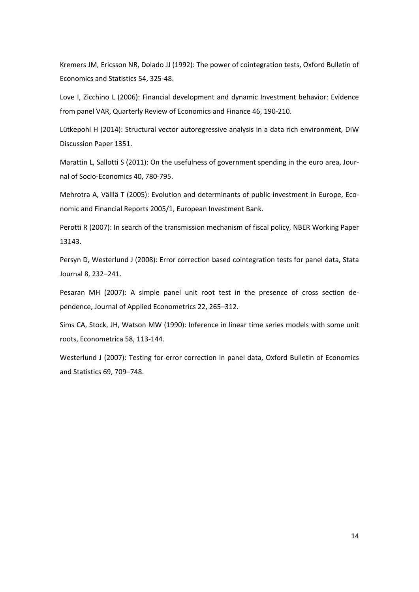Kremers JM, Ericsson NR, Dolado JJ (1992): The power of cointegration tests, Oxford Bulletin of Economics and Statistics 54, 325‐48.

Love I, Zicchino L (2006): Financial development and dynamic Investment behavior: Evidence from panel VAR, Quarterly Review of Economics and Finance 46, 190‐210.

Lütkepohl H (2014): Structural vector autoregressive analysis in a data rich environment, DIW Discussion Paper 1351.

Marattin L, Sallotti S (2011): On the usefulness of government spending in the euro area, Journal of Socio‐Economics 40, 780‐795.

Mehrotra A, Välilä T (2005): Evolution and determinants of public investment in Europe, Economic and Financial Reports 2005/1, European Investment Bank.

Perotti R (2007): In search of the transmission mechanism of fiscal policy, NBER Working Paper 13143.

Persyn D, Westerlund J (2008): Error correction based cointegration tests for panel data, Stata Journal 8, 232–241.

Pesaran MH (2007): A simple panel unit root test in the presence of cross section de‐ pendence, Journal of Applied Econometrics 22, 265–312.

Sims CA, Stock, JH, Watson MW (1990): Inference in linear time series models with some unit roots, Econometrica 58, 113‐144.

Westerlund J (2007): Testing for error correction in panel data, Oxford Bulletin of Economics and Statistics 69, 709–748.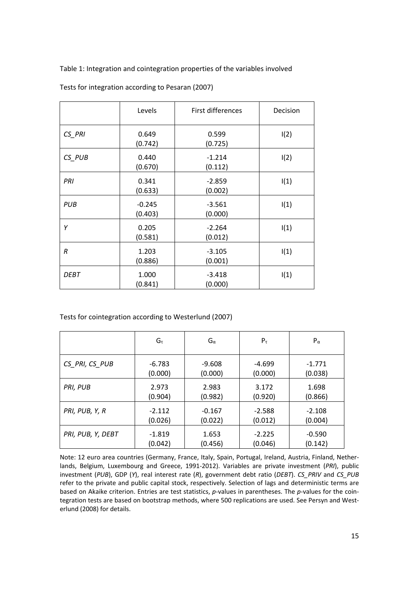Table 1: Integration and cointegration properties of the variables involved

|                  | Levels              | First differences   | Decision |
|------------------|---------------------|---------------------|----------|
| CS PRI           | 0.649<br>(0.742)    | 0.599<br>(0.725)    | I(2)     |
| CS_PUB           | 0.440<br>(0.670)    | $-1.214$<br>(0.112) | I(2)     |
| PRI              | 0.341<br>(0.633)    | $-2.859$<br>(0.002) | I(1)     |
| PUB              | $-0.245$<br>(0.403) | $-3.561$<br>(0.000) | I(1)     |
| Υ                | 0.205<br>(0.581)    | $-2.264$<br>(0.012) | I(1)     |
| $\boldsymbol{R}$ | 1.203<br>(0.886)    | $-3.105$<br>(0.001) | I(1)     |
| DEBT             | 1.000<br>(0.841)    | $-3.418$<br>(0.000) | I(1)     |

Tests for integration according to Pesaran (2007)

Tests for cointegration according to Westerlund (2007)

|                   | $G_{\tau}$ | $G_{\alpha}$ | $P_{\tau}$ | $P_{\alpha}$ |
|-------------------|------------|--------------|------------|--------------|
| CS PRI, CS PUB    | $-6.783$   | $-9.608$     | $-4.699$   | $-1.771$     |
|                   | (0.000)    | (0.000)      | (0.000)    | (0.038)      |
| PRI, PUB          | 2.973      | 2.983        | 3.172      | 1.698        |
|                   | (0.904)    | (0.982)      | (0.920)    | (0.866)      |
| PRI, PUB, Y, R    | $-2.112$   | $-0.167$     | $-2.588$   | $-2.108$     |
|                   | (0.026)    | (0.022)      | (0.012)    | (0.004)      |
| PRI, PUB, Y, DEBT | $-1.819$   | 1.653        | $-2.225$   | $-0.590$     |
|                   | (0.042)    | (0.456)      | (0.046)    | (0.142)      |

Note: 12 euro area countries (Germany, France, Italy, Spain, Portugal, Ireland, Austria, Finland, Nether‐ lands, Belgium, Luxembourg and Greece, 1991‐2012). Variables are private investment (*PRI*), public investment (*PUB*), GDP (*Y*), real interest rate (*R*), government debt ratio (*DEBT*). *CS\_PRIV* and *CS\_PUB* refer to the private and public capital stock, respectively. Selection of lags and deterministic terms are based on Akaike criterion. Entries are test statistics, *p*-values in parentheses. The *p*-values for the cointegration tests are based on bootstrap methods, where 500 replications are used. See Persyn and Westerlund (2008) for details.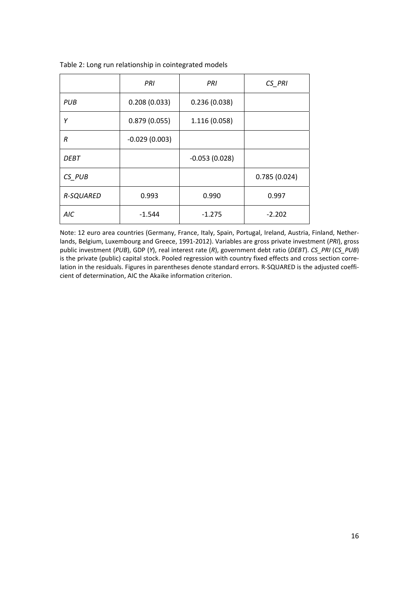|                  | PRI             | PRI             | $CS$ <sub><math>PRI</math></sub> |
|------------------|-----------------|-----------------|----------------------------------|
| PUB              | 0.208(0.033)    | 0.236(0.038)    |                                  |
| Υ                | 0.879(0.055)    | 1.116 (0.058)   |                                  |
| R                | $-0.029(0.003)$ |                 |                                  |
| DEBT             |                 | $-0.053(0.028)$ |                                  |
| $CS_PUB$         |                 |                 | 0.785(0.024)                     |
| <b>R-SQUARED</b> | 0.993           | 0.990           | 0.997                            |
| AIC              | $-1.544$        | $-1.275$        | $-2.202$                         |

Table 2: Long run relationship in cointegrated models

Note: 12 euro area countries (Germany, France, Italy, Spain, Portugal, Ireland, Austria, Finland, Nether‐ lands, Belgium, Luxembourg and Greece, 1991‐2012). Variables are gross private investment (*PRI*), gross public investment (*PUB*), GDP (*Y*), real interest rate (*R*), government debt ratio (*DEBT*). *CS\_PRI* (*CS\_PUB*) is the private (public) capital stock. Pooled regression with country fixed effects and cross section correlation in the residuals. Figures in parentheses denote standard errors. R-SQUARED is the adjusted coefficient of determination, AIC the Akaike information criterion.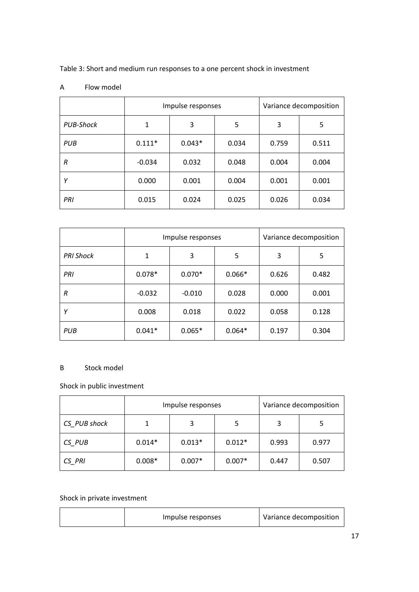Table 3: Short and medium run responses to a one percent shock in investment

|            | Impulse responses |          |       |       | Variance decomposition |
|------------|-------------------|----------|-------|-------|------------------------|
| PUB-Shock  | 1                 | 3        | 5     | 3     | 5                      |
| <b>PUB</b> | $0.111*$          | $0.043*$ | 0.034 | 0.759 | 0.511                  |
| R          | $-0.034$          | 0.032    | 0.048 | 0.004 | 0.004                  |
| Υ          | 0.000             | 0.001    | 0.004 | 0.001 | 0.001                  |
| PRI        | 0.015             | 0.024    | 0.025 | 0.026 | 0.034                  |

## A Flow model

|                  | Impulse responses |          |          | Variance decomposition |       |
|------------------|-------------------|----------|----------|------------------------|-------|
| <b>PRI Shock</b> | 1                 | 3        | 5        | 3                      | 5     |
| PRI              | $0.078*$          | $0.070*$ | $0.066*$ | 0.626                  | 0.482 |
| R                | $-0.032$          | $-0.010$ | 0.028    | 0.000                  | 0.001 |
|                  | 0.008             | 0.018    | 0.022    | 0.058                  | 0.128 |
| PUB              | $0.041*$          | $0.065*$ | $0.064*$ | 0.197                  | 0.304 |

## B Stock model

# Shock in public investment

|              | Impulse responses |          |          |       | Variance decomposition |
|--------------|-------------------|----------|----------|-------|------------------------|
| CS PUB shock |                   |          |          |       |                        |
| CS PUB       | $0.014*$          | $0.013*$ | $0.012*$ | 0.993 | 0.977                  |
| CS PRI       | $0.008*$          | $0.007*$ | $0.007*$ | 0.447 | 0.507                  |

# Shock in private investment

| Impulse responses | Variance decomposition |
|-------------------|------------------------|
|                   |                        |